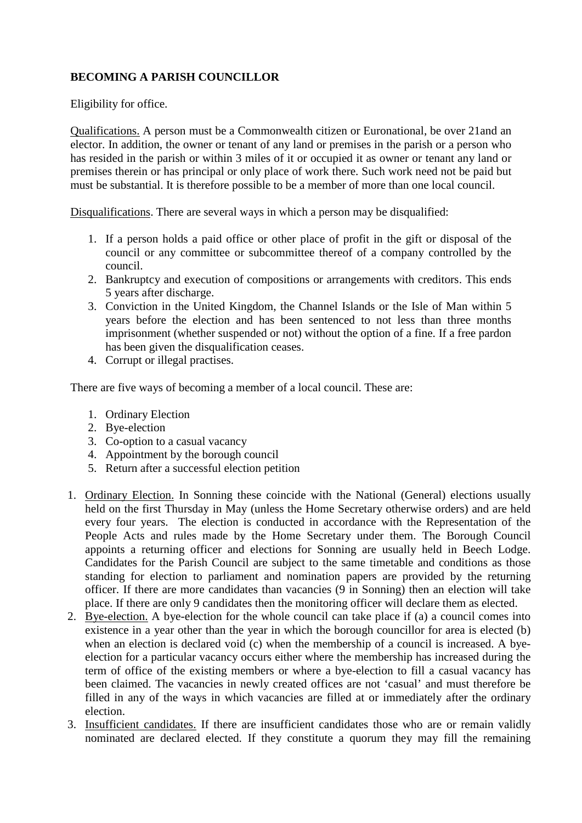# **BECOMING A PARISH COUNCILLOR**

Eligibility for office.

Qualifications. A person must be a Commonwealth citizen or Euronational, be over 21and an elector. In addition, the owner or tenant of any land or premises in the parish or a person who has resided in the parish or within 3 miles of it or occupied it as owner or tenant any land or premises therein or has principal or only place of work there. Such work need not be paid but must be substantial. It is therefore possible to be a member of more than one local council.

Disqualifications. There are several ways in which a person may be disqualified:

- 1. If a person holds a paid office or other place of profit in the gift or disposal of the council or any committee or subcommittee thereof of a company controlled by the council.
- 2. Bankruptcy and execution of compositions or arrangements with creditors. This ends 5 years after discharge.
- 3. Conviction in the United Kingdom, the Channel Islands or the Isle of Man within 5 years before the election and has been sentenced to not less than three months imprisonment (whether suspended or not) without the option of a fine. If a free pardon has been given the disqualification ceases.
- 4. Corrupt or illegal practises.

There are five ways of becoming a member of a local council. These are:

- 1. Ordinary Election
- 2. Bye-election
- 3. Co-option to a casual vacancy
- 4. Appointment by the borough council
- 5. Return after a successful election petition
- 1. Ordinary Election. In Sonning these coincide with the National (General) elections usually held on the first Thursday in May (unless the Home Secretary otherwise orders) and are held every four years. The election is conducted in accordance with the Representation of the People Acts and rules made by the Home Secretary under them. The Borough Council appoints a returning officer and elections for Sonning are usually held in Beech Lodge. Candidates for the Parish Council are subject to the same timetable and conditions as those standing for election to parliament and nomination papers are provided by the returning officer. If there are more candidates than vacancies (9 in Sonning) then an election will take place. If there are only 9 candidates then the monitoring officer will declare them as elected.
- 2. Bye-election. A bye-election for the whole council can take place if (a) a council comes into existence in a year other than the year in which the borough councillor for area is elected (b) when an election is declared void (c) when the membership of a council is increased. A byeelection for a particular vacancy occurs either where the membership has increased during the term of office of the existing members or where a bye-election to fill a casual vacancy has been claimed. The vacancies in newly created offices are not 'casual' and must therefore be filled in any of the ways in which vacancies are filled at or immediately after the ordinary election.
- 3. Insufficient candidates. If there are insufficient candidates those who are or remain validly nominated are declared elected. If they constitute a quorum they may fill the remaining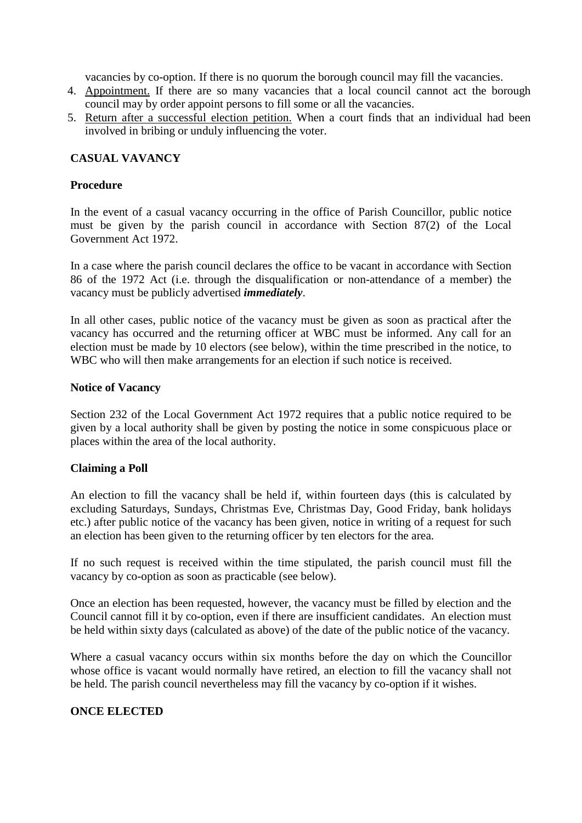vacancies by co-option. If there is no quorum the borough council may fill the vacancies.

- 4. Appointment. If there are so many vacancies that a local council cannot act the borough council may by order appoint persons to fill some or all the vacancies.
- 5. Return after a successful election petition. When a court finds that an individual had been involved in bribing or unduly influencing the voter.

# **CASUAL VAVANCY**

### **Procedure**

In the event of a casual vacancy occurring in the office of Parish Councillor, public notice must be given by the parish council in accordance with Section 87(2) of the Local Government Act 1972.

In a case where the parish council declares the office to be vacant in accordance with Section 86 of the 1972 Act (i.e. through the disqualification or non-attendance of a member) the vacancy must be publicly advertised *immediately*.

In all other cases, public notice of the vacancy must be given as soon as practical after the vacancy has occurred and the returning officer at WBC must be informed. Any call for an election must be made by 10 electors (see below), within the time prescribed in the notice, to WBC who will then make arrangements for an election if such notice is received.

#### **Notice of Vacancy**

Section 232 of the Local Government Act 1972 requires that a public notice required to be given by a local authority shall be given by posting the notice in some conspicuous place or places within the area of the local authority.

## **Claiming a Poll**

An election to fill the vacancy shall be held if, within fourteen days (this is calculated by excluding Saturdays, Sundays, Christmas Eve, Christmas Day, Good Friday, bank holidays etc.) after public notice of the vacancy has been given, notice in writing of a request for such an election has been given to the returning officer by ten electors for the area.

If no such request is received within the time stipulated, the parish council must fill the vacancy by co-option as soon as practicable (see below).

Once an election has been requested, however, the vacancy must be filled by election and the Council cannot fill it by co-option, even if there are insufficient candidates. An election must be held within sixty days (calculated as above) of the date of the public notice of the vacancy.

Where a casual vacancy occurs within six months before the day on which the Councillor whose office is vacant would normally have retired, an election to fill the vacancy shall not be held. The parish council nevertheless may fill the vacancy by co-option if it wishes.

# **ONCE ELECTED**